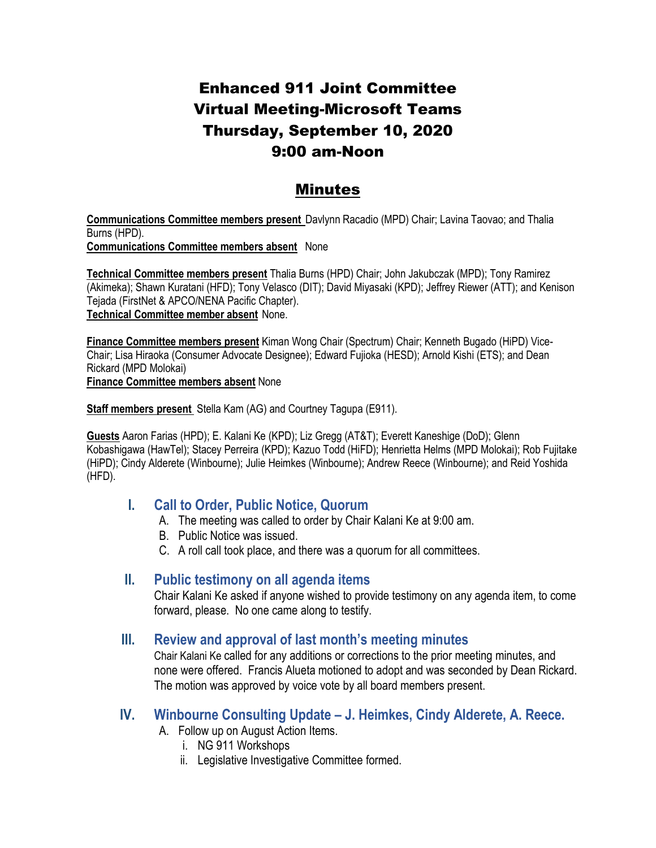# Enhanced 911 Joint Committee Virtual Meeting-Microsoft Teams Thursday, September 10, 2020 9:00 am-Noon

## Minutes

**Communications Committee members present** Davlynn Racadio (MPD) Chair; Lavina Taovao; and Thalia Burns (HPD). **Communications Committee members absent** None

**Technical Committee members present** Thalia Burns (HPD) Chair; John Jakubczak (MPD); Tony Ramirez (Akimeka); Shawn Kuratani (HFD); Tony Velasco (DIT); David Miyasaki (KPD); Jeffrey Riewer (ATT); and Kenison Tejada (FirstNet & APCO/NENA Pacific Chapter). **Technical Committee member absent** None.

**Finance Committee members present** Kiman Wong Chair (Spectrum) Chair; Kenneth Bugado (HiPD) Vice-Chair; Lisa Hiraoka (Consumer Advocate Designee); Edward Fujioka (HESD); Arnold Kishi (ETS); and Dean Rickard (MPD Molokai)

**Finance Committee members absent** None

**Staff members present** Stella Kam (AG) and Courtney Tagupa (E911).

**Guests** Aaron Farias (HPD); E. Kalani Ke (KPD); Liz Gregg (AT&T); Everett Kaneshige (DoD); Glenn Kobashigawa (HawTel); Stacey Perreira (KPD); Kazuo Todd (HiFD); Henrietta Helms (MPD Molokai); Rob Fujitake (HiPD); Cindy Alderete (Winbourne); Julie Heimkes (Winbourne); Andrew Reece (Winbourne); and Reid Yoshida (HFD).

### **I. Call to Order, Public Notice, Quorum**

- A. The meeting was called to order by Chair Kalani Ke at 9:00 am.
- B. Public Notice was issued.
- C. A roll call took place, and there was a quorum for all committees.

### **II. Public testimony on all agenda items**

Chair Kalani Ke asked if anyone wished to provide testimony on any agenda item, to come forward, please. No one came along to testify.

### **III. Review and approval of last month's meeting minutes**

Chair Kalani Ke called for any additions or corrections to the prior meeting minutes, and none were offered. Francis Alueta motioned to adopt and was seconded by Dean Rickard. The motion was approved by voice vote by all board members present.

### **IV. Winbourne Consulting Update – J. Heimkes, Cindy Alderete, A. Reece.**

- A. Follow up on August Action Items.
	- i. NG 911 Workshops
	- ii. Legislative Investigative Committee formed.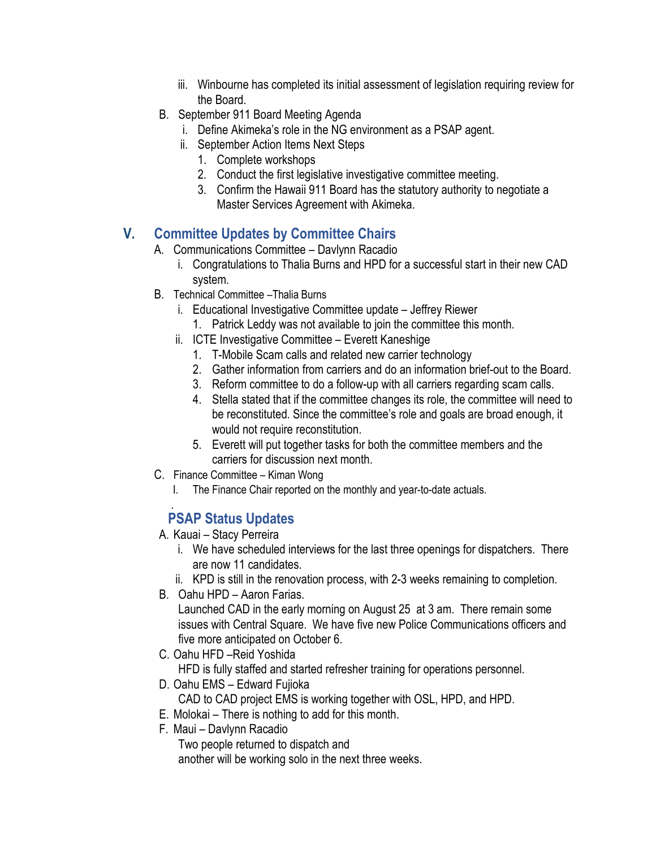- iii. Winbourne has completed its initial assessment of legislation requiring review for the Board.
- B. September 911 Board Meeting Agenda
	- i. Define Akimeka's role in the NG environment as a PSAP agent.
	- ii. September Action Items Next Steps
		- 1. Complete workshops
		- 2. Conduct the first legislative investigative committee meeting.
		- 3. Confirm the Hawaii 911 Board has the statutory authority to negotiate a Master Services Agreement with Akimeka.

# **V. Committee Updates by Committee Chairs**

- A. Communications Committee Davlynn Racadio
	- i. Congratulations to Thalia Burns and HPD for a successful start in their new CAD system.
- B. Technical Committee –Thalia Burns
	- i. Educational Investigative Committee update Jeffrey Riewer
		- 1. Patrick Leddy was not available to join the committee this month.
	- ii. ICTE Investigative Committee Everett Kaneshige
		- 1. T-Mobile Scam calls and related new carrier technology
		- 2. Gather information from carriers and do an information brief-out to the Board.
		- 3. Reform committee to do a follow-up with all carriers regarding scam calls.
		- 4. Stella stated that if the committee changes its role, the committee will need to be reconstituted. Since the committee's role and goals are broad enough, it would not require reconstitution.
		- 5. Everett will put together tasks for both the committee members and the carriers for discussion next month.
- C. Finance Committee Kiman Wong
	- I. The Finance Chair reported on the monthly and year-to-date actuals.

#### . **PSAP Status Updates**

- A. Kauai Stacy Perreira
	- i. We have scheduled interviews for the last three openings for dispatchers. There are now 11 candidates.
	- ii. KPD is still in the renovation process, with 2-3 weeks remaining to completion.
- B. Oahu HPD Aaron Farias.

Launched CAD in the early morning on August 25 at 3 am. There remain some issues with Central Square. We have five new Police Communications officers and five more anticipated on October 6.

- C. Oahu HFD –Reid Yoshida
- HFD is fully staffed and started refresher training for operations personnel.
- D. Oahu EMS Edward Fujioka CAD to CAD project EMS is working together with OSL, HPD, and HPD.
- E. Molokai There is nothing to add for this month.
- F. Maui Davlynn Racadio

Two people returned to dispatch and

another will be working solo in the next three weeks.